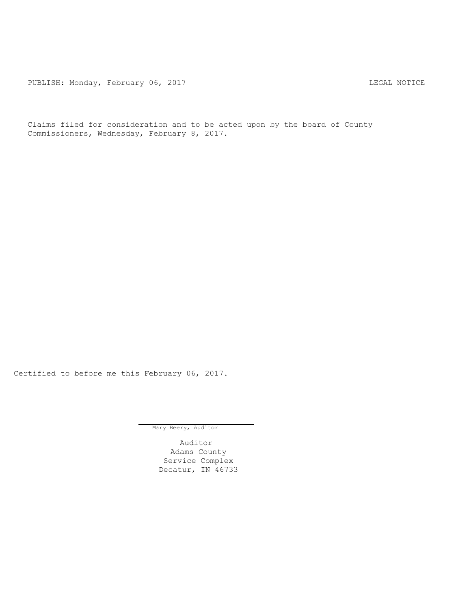PUBLISH: Monday, February 06, 2017 CHA CONSERVITION CONTROL REGAL NOTICE

Claims filed for consideration and to be acted upon by the board of County Commissioners, Wednesday, February 8, 2017.

Certified to before me this February 06, 2017.

Mary Beery, Auditor

Auditor Adams County Service Complex Decatur, IN 46733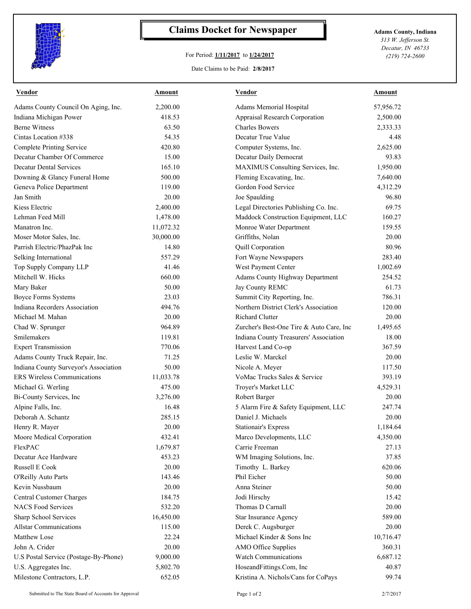

## **Claims Docket for Newspaper Adams County, Indiana**

## For Period: **1/11/2017** to **1/24/2017**

*313 W. Jefferson St. Decatur, IN 46733 (219) 724-2600*

Date Claims to be Paid: **2/8/2017**

| Vendor                                | Amount    | Vendor                                   | Amount    |
|---------------------------------------|-----------|------------------------------------------|-----------|
| Adams County Council On Aging, Inc.   | 2,200.00  | Adams Memorial Hospital                  | 57,956.72 |
| Indiana Michigan Power                | 418.53    | Appraisal Research Corporation           | 2,500.00  |
| <b>Berne Witness</b>                  | 63.50     | <b>Charles Bowers</b>                    | 2,333.33  |
| Cintas Location #338                  | 54.35     | Decatur True Value                       | 4.48      |
| <b>Complete Printing Service</b>      | 420.80    | Computer Systems, Inc.                   | 2,625.00  |
| Decatur Chamber Of Commerce           | 15.00     | Decatur Daily Democrat                   | 93.83     |
| <b>Decatur Dental Services</b>        | 165.10    | MAXIMUS Consulting Services, Inc.        | 1,950.00  |
| Downing & Glancy Funeral Home         | 500.00    | Fleming Excavating, Inc.                 | 7,640.00  |
| Geneva Police Department              | 119.00    | Gordon Food Service                      | 4,312.29  |
| Jan Smith                             | 20.00     | Joe Spaulding                            | 96.80     |
| Kiess Electric                        | 2,400.00  | Legal Directories Publishing Co. Inc.    | 69.75     |
| Lehman Feed Mill                      | 1,478.00  | Maddock Construction Equipment, LLC      | 160.27    |
| Manatron Inc.                         | 11,072.32 | Monroe Water Department                  | 159.55    |
| Moser Motor Sales, Inc.               | 30,000.00 | Griffiths, Nolan                         | 20.00     |
| Parrish Electric/PhazPak Inc          | 14.80     | Quill Corporation                        | 80.96     |
| Selking International                 | 557.29    | Fort Wayne Newspapers                    | 283.40    |
| Top Supply Company LLP                | 41.46     | West Payment Center                      | 1,002.69  |
| Mitchell W. Hicks                     | 660.00    | Adams County Highway Department          | 254.52    |
| Mary Baker                            | 50.00     | Jay County REMC                          | 61.73     |
| <b>Boyce Forms Systems</b>            | 23.03     | Summit City Reporting, Inc.              | 786.31    |
| Indiana Recorders Association         | 494.76    | Northern District Clerk's Association    | 120.00    |
| Michael M. Mahan                      | 20.00     | <b>Richard Clutter</b>                   | 20.00     |
| Chad W. Sprunger                      | 964.89    | Zurcher's Best-One Tire & Auto Care, Inc | 1,495.65  |
| Smilemakers                           | 119.81    | Indiana County Treasurers' Association   | 18.00     |
| <b>Expert Transmission</b>            | 770.06    | Harvest Land Co-op                       | 367.59    |
| Adams County Truck Repair, Inc.       | 71.25     | Leslie W. Marckel                        | 20.00     |
| Indiana County Surveyor's Association | 50.00     | Nicole A. Meyer                          | 117.50    |
| <b>ERS</b> Wireless Communications    | 11,033.78 | VoMac Trucks Sales & Service             | 393.19    |
| Michael G. Werling                    | 475.00    | Troyer's Market LLC                      | 4,529.31  |
| Bi-County Services, Inc               | 3,276.00  | Robert Barger                            | 20.00     |
| Alpine Falls, Inc.                    | 16.48     | 5 Alarm Fire & Safety Equipment, LLC     | 247.74    |
| Deborah A. Schantz                    | 285.15    | Daniel J. Michaels                       | 20.00     |
| Henry R. Mayer                        | 20.00     | <b>Stationair's Express</b>              | 1,184.64  |
| Moore Medical Corporation             | 432.41    | Marco Developments, LLC                  | 4,350.00  |
| FlexPAC                               | 1,679.87  | Carrie Freeman                           | 27.13     |
| Decatur Ace Hardware                  | 453.23    | WM Imaging Solutions, Inc.               | 37.85     |
| Russell E Cook                        | 20.00     | Timothy L. Barkey                        | 620.06    |
| O'Reilly Auto Parts                   | 143.46    | Phil Eicher                              | 50.00     |
| Kevin Nussbaum                        | 20.00     | Anna Steiner                             | 50.00     |
| Central Customer Charges              | 184.75    | Jodi Hirschy                             | 15.42     |
| <b>NACS Food Services</b>             | 532.20    | Thomas D Carnall                         | 20.00     |
| Sharp School Services                 | 16,450.00 | Star Insurance Agency                    | 589.00    |
| <b>Allstar Communications</b>         | 115.00    | Derek C. Augsburger                      | 20.00     |
| Matthew Lose                          | 22.24     | Michael Kinder & Sons Inc                | 10,716.47 |
| John A. Crider                        | 20.00     | AMO Office Supplies                      | 360.31    |
| U.S Postal Service (Postage-By-Phone) | 9,000.00  | <b>Watch Communications</b>              | 6,687.12  |
| U.S. Aggregates Inc.                  | 5,802.70  | HoseandFittings.Com, Inc                 | 40.87     |
| Milestone Contractors, L.P.           | 652.05    | Kristina A. Nichols/Cans for CoPays      | 99.74     |